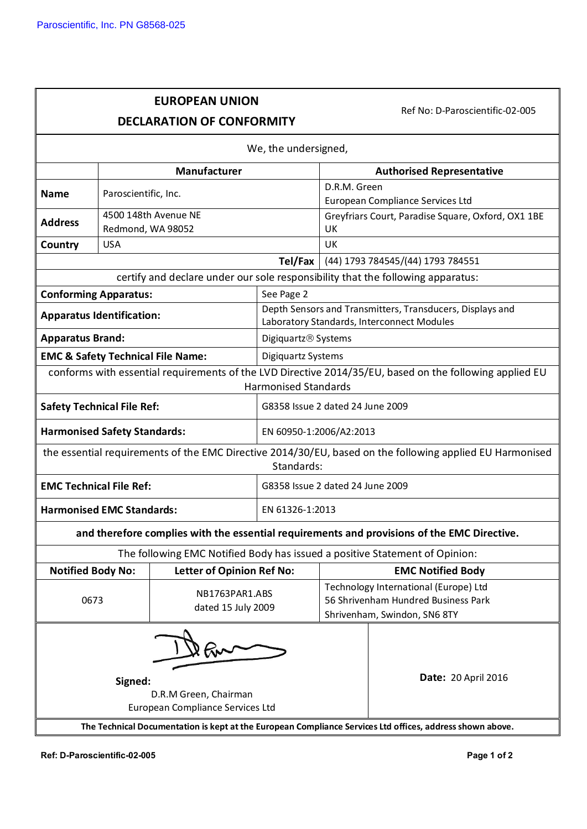## **EUROPEAN UNION DECLARATION OF CONFORMITY**

Ref No: D-Paroscientific-02-005

| We, the undersigned,                                                                                                   |                      |                                  |                                                                                                         |                                     |                                                                                                         |  |
|------------------------------------------------------------------------------------------------------------------------|----------------------|----------------------------------|---------------------------------------------------------------------------------------------------------|-------------------------------------|---------------------------------------------------------------------------------------------------------|--|
|                                                                                                                        | <b>Manufacturer</b>  |                                  |                                                                                                         | <b>Authorised Representative</b>    |                                                                                                         |  |
| <b>Name</b>                                                                                                            | Paroscientific, Inc. |                                  |                                                                                                         | D.R.M. Green                        |                                                                                                         |  |
|                                                                                                                        |                      |                                  |                                                                                                         | European Compliance Services Ltd    |                                                                                                         |  |
| <b>Address</b>                                                                                                         | 4500 148th Avenue NE |                                  |                                                                                                         |                                     | Greyfriars Court, Paradise Square, Oxford, OX1 1BE                                                      |  |
|                                                                                                                        | Redmond, WA 98052    |                                  |                                                                                                         | UK                                  |                                                                                                         |  |
| Country                                                                                                                | <b>USA</b>           |                                  |                                                                                                         | UK                                  |                                                                                                         |  |
|                                                                                                                        |                      |                                  | Tel/Fax<br>(44) 1793 784545/(44) 1793 784551                                                            |                                     |                                                                                                         |  |
|                                                                                                                        |                      |                                  | certify and declare under our sole responsibility that the following apparatus:                         |                                     |                                                                                                         |  |
| <b>Conforming Apparatus:</b>                                                                                           |                      |                                  | See Page 2                                                                                              |                                     |                                                                                                         |  |
| <b>Apparatus Identification:</b>                                                                                       |                      |                                  | Depth Sensors and Transmitters, Transducers, Displays and<br>Laboratory Standards, Interconnect Modules |                                     |                                                                                                         |  |
| <b>Apparatus Brand:</b>                                                                                                |                      |                                  | Digiquartz <sup>®</sup> Systems                                                                         |                                     |                                                                                                         |  |
| <b>EMC &amp; Safety Technical File Name:</b>                                                                           |                      |                                  | Digiquartz Systems                                                                                      |                                     |                                                                                                         |  |
|                                                                                                                        |                      |                                  |                                                                                                         |                                     | conforms with essential requirements of the LVD Directive 2014/35/EU, based on the following applied EU |  |
|                                                                                                                        |                      |                                  | <b>Harmonised Standards</b>                                                                             |                                     |                                                                                                         |  |
| <b>Safety Technical File Ref:</b>                                                                                      |                      |                                  | G8358 Issue 2 dated 24 June 2009                                                                        |                                     |                                                                                                         |  |
| <b>Harmonised Safety Standards:</b>                                                                                    |                      |                                  | EN 60950-1:2006/A2:2013                                                                                 |                                     |                                                                                                         |  |
| the essential requirements of the EMC Directive 2014/30/EU, based on the following applied EU Harmonised<br>Standards: |                      |                                  |                                                                                                         |                                     |                                                                                                         |  |
| <b>EMC Technical File Ref:</b>                                                                                         |                      |                                  | G8358 Issue 2 dated 24 June 2009                                                                        |                                     |                                                                                                         |  |
| <b>Harmonised EMC Standards:</b>                                                                                       |                      |                                  | EN 61326-1:2013                                                                                         |                                     |                                                                                                         |  |
| and therefore complies with the essential requirements and provisions of the EMC Directive.                            |                      |                                  |                                                                                                         |                                     |                                                                                                         |  |
| The following EMC Notified Body has issued a positive Statement of Opinion:                                            |                      |                                  |                                                                                                         |                                     |                                                                                                         |  |
| <b>Notified Body No:</b>                                                                                               |                      | <b>Letter of Opinion Ref No:</b> |                                                                                                         |                                     | <b>EMC Notified Body</b>                                                                                |  |
|                                                                                                                        |                      | NB1763PAR1.ABS                   |                                                                                                         |                                     | Technology International (Europe) Ltd                                                                   |  |
| 0673                                                                                                                   |                      | dated 15 July 2009               |                                                                                                         | 56 Shrivenham Hundred Business Park |                                                                                                         |  |
|                                                                                                                        |                      |                                  |                                                                                                         | Shrivenham, Swindon, SN6 8TY        |                                                                                                         |  |
|                                                                                                                        |                      |                                  |                                                                                                         |                                     |                                                                                                         |  |
|                                                                                                                        | Signed:              |                                  |                                                                                                         |                                     | <b>Date: 20 April 2016</b>                                                                              |  |
|                                                                                                                        |                      | D.R.M Green, Chairman            |                                                                                                         |                                     |                                                                                                         |  |
|                                                                                                                        |                      | European Compliance Services Ltd |                                                                                                         |                                     |                                                                                                         |  |
| The Technical Documentation is kept at the European Compliance Services Ltd offices, address shown above.              |                      |                                  |                                                                                                         |                                     |                                                                                                         |  |